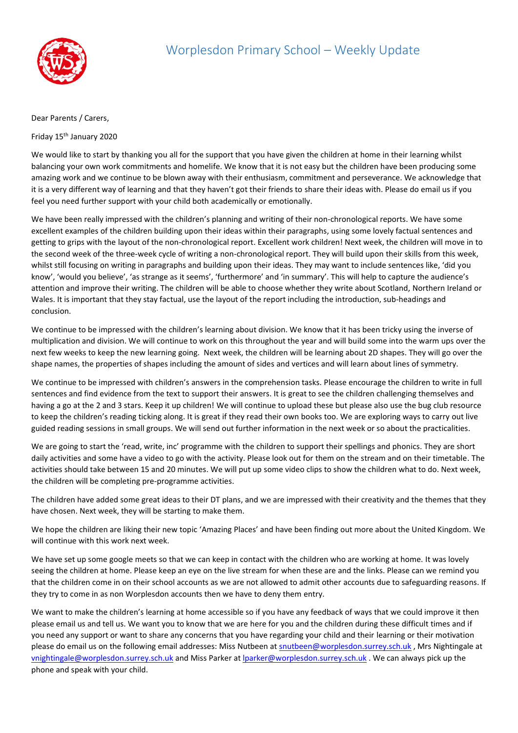

## Dear Parents / Carers,

Friday 15th January 2020

We would like to start by thanking you all for the support that you have given the children at home in their learning whilst balancing your own work commitments and homelife. We know that it is not easy but the children have been producing some amazing work and we continue to be blown away with their enthusiasm, commitment and perseverance. We acknowledge that it is a very different way of learning and that they haven't got their friends to share their ideas with. Please do email us if you feel you need further support with your child both academically or emotionally.

We have been really impressed with the children's planning and writing of their non-chronological reports. We have some excellent examples of the children building upon their ideas within their paragraphs, using some lovely factual sentences and getting to grips with the layout of the non-chronological report. Excellent work children! Next week, the children will move in to the second week of the three-week cycle of writing a non-chronological report. They will build upon their skills from this week, whilst still focusing on writing in paragraphs and building upon their ideas. They may want to include sentences like, 'did you know', 'would you believe', 'as strange as it seems', 'furthermore' and 'in summary'. This will help to capture the audience's attention and improve their writing. The children will be able to choose whether they write about Scotland, Northern Ireland or Wales. It is important that they stay factual, use the layout of the report including the introduction, sub-headings and conclusion.

We continue to be impressed with the children's learning about division. We know that it has been tricky using the inverse of multiplication and division. We will continue to work on this throughout the year and will build some into the warm ups over the next few weeks to keep the new learning going. Next week, the children will be learning about 2D shapes. They will go over the shape names, the properties of shapes including the amount of sides and vertices and will learn about lines of symmetry.

We continue to be impressed with children's answers in the comprehension tasks. Please encourage the children to write in full sentences and find evidence from the text to support their answers. It is great to see the children challenging themselves and having a go at the 2 and 3 stars. Keep it up children! We will continue to upload these but please also use the bug club resource to keep the children's reading ticking along. It is great if they read their own books too. We are exploring ways to carry out live guided reading sessions in small groups. We will send out further information in the next week or so about the practicalities.

We are going to start the 'read, write, inc' programme with the children to support their spellings and phonics. They are short daily activities and some have a video to go with the activity. Please look out for them on the stream and on their timetable. The activities should take between 15 and 20 minutes. We will put up some video clips to show the children what to do. Next week, the children will be completing pre-programme activities.

The children have added some great ideas to their DT plans, and we are impressed with their creativity and the themes that they have chosen. Next week, they will be starting to make them.

We hope the children are liking their new topic 'Amazing Places' and have been finding out more about the United Kingdom. We will continue with this work next week.

We have set up some google meets so that we can keep in contact with the children who are working at home. It was lovely seeing the children at home. Please keep an eye on the live stream for when these are and the links. Please can we remind you that the children come in on their school accounts as we are not allowed to admit other accounts due to safeguarding reasons. If they try to come in as non Worplesdon accounts then we have to deny them entry.

We want to make the children's learning at home accessible so if you have any feedback of ways that we could improve it then please email us and tell us. We want you to know that we are here for you and the children during these difficult times and if you need any support or want to share any concerns that you have regarding your child and their learning or their motivation please do email us on the following email addresses: Miss Nutbeen at [snutbeen@worplesdon.surrey.sch.uk](mailto:snutbeen@worplesdon.surrey.sch.uk), Mrs Nightingale at [vnightingale@worplesdon.surrey.sch.uk](mailto:vnightingale@worplesdon.surrey.sch.uk) and Miss Parker at [lparker@worplesdon.surrey.sch.uk](mailto:lparker@worplesdon.surrey.sch.uk) . We can always pick up the phone and speak with your child.